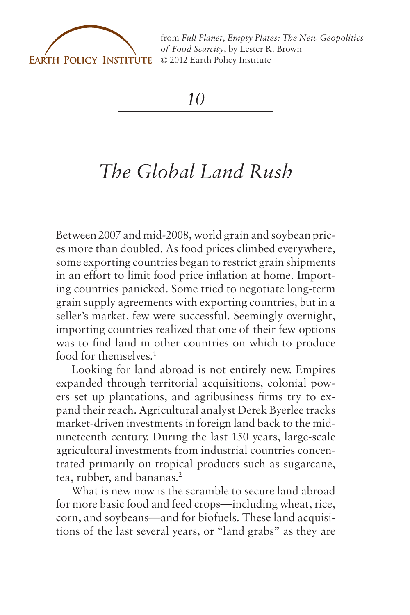

from *[Full Planet, Empty Plates: The New Geopolitics](http://www.earth-policy.org) of Food Scarcity*, by Lester R. Brown © 2012 Earth Policy Institute

*10*

## *The Global Land Rush*

Between 2007 and mid-2008, world grain and soybean prices more than doubled. As food prices climbed everywhere, some exporting countries began to restrict grain shipments in an effort to limit food price inflation at home. Importing countries panicked. Some tried to negotiate long-term grain supply agreements with exporting countries, but in a seller's market, few were successful. Seemingly overnight, importing countries realized that one of their few options was to find land in other countries on which to produce food for themselves.<sup>1</sup>

Looking for land abroad is not entirely new. Empires expanded through territorial acquisitions, colonial powers set up plantations, and agribusiness firms try to expand their reach. Agricultural analyst Derek Byerlee tracks market-driven investments in foreign land back to the midnineteenth century. During the last 150 years, large-scale agricultural investments from industrial countries concentrated primarily on tropical products such as sugarcane, tea, rubber, and bananas.<sup>2</sup>

What is new now is the scramble to secure land abroad for more basic food and feed crops—including wheat, rice, corn, and soybeans—and for biofuels. These land acquisitions of the last several years, or "land grabs" as they are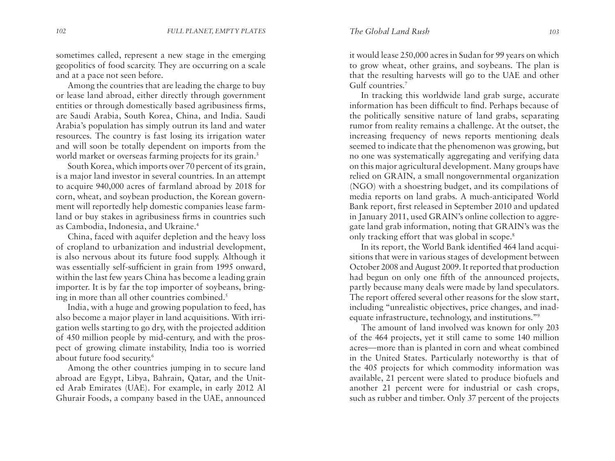sometimes called, represent a new stage in the emerging geopolitics of food scarcity. They are occurring on a scale and at a pace not seen before.

Among the countries that are leading the charge to buy or lease land abroad, either directly through government entities or through domestically based agribusiness firms, are Saudi Arabia, South Korea, China, and India. Saudi Arabia's population has simply outrun its land and water resources. The country is fast losing its irrigation water and will soon be totally dependent on imports from the world market or overseas farming projects for its grain.<sup>3</sup>

South Korea, which imports over 70 percent of its grain, is a major land investor in several countries. In an attempt to acquire 940,000 acres of farmland abroad by 2018 for corn, wheat, and soybean production, the Korean government will reportedly help domestic companies lease farmland or buy stakes in agribusiness firms in countries such as Cambodia, Indonesia, and Ukraine.4

China, faced with aquifer depletion and the heavy loss of cropland to urbanization and industrial development, is also nervous about its future food supply. Although it was essentially self-sufficient in grain from 1995 onward, within the last few years China has become a leading grain importer. It is by far the top importer of soybeans, bringing in more than all other countries combined.<sup>5</sup>

India, with a huge and growing population to feed, has also become a major player in land acquisitions. With irrigation wells starting to go dry, with the projected addition of 450 million people by mid-century, and with the prospect of growing climate instability, India too is worried about future food security.<sup>6</sup>

Among the other countries jumping in to secure land abroad are Egypt, Libya, Bahrain, Qatar, and the United Arab Emirates (UAE). For example, in early 2012 Al Ghurair Foods, a company based in the UAE, announced it would lease 250,000 acres in Sudan for 99 years on which to grow wheat, other grains, and soybeans. The plan is that the resulting harvests will go to the UAE and other Gulf countries.<sup>7</sup>

In tracking this worldwide land grab surge, accurate information has been difficult to find. Perhaps because of the politically sensitive nature of land grabs, separating rumor from reality remains a challenge. At the outset, the increasing frequency of news reports mentioning deals seemed to indicate that the phenomenon was growing, but no one was systematically aggregating and verifying data on this major agricultural development. Many groups have relied on GRAIN, a small nongovernmental organization (NGO) with a shoestring budget, and its compilations of media reports on land grabs. A much-anticipated World Bank report, first released in September 2010 and updated in January 2011, used GRAIN's online collection to aggregate land grab information, noting that GRAIN's was the only tracking effort that was global in scope.<sup>8</sup>

In its report, the World Bank identified 464 land acquisitions that were in various stages of development between October 2008 and August 2009. It reported that production had begun on only one fifth of the announced projects, partly because many deals were made by land speculators. The report offered several other reasons for the slow start, including "unrealistic objectives, price changes, and inadequate infrastructure, technology, and institutions."9

The amount of land involved was known for only 203 of the 464 projects, yet it still came to some 140 million acres—more than is planted in corn and wheat combined in the United States. Particularly noteworthy is that of the 405 projects for which commodity information was available, 21 percent were slated to produce biofuels and another 21 percent were for industrial or cash crops, such as rubber and timber. Only 37 percent of the projects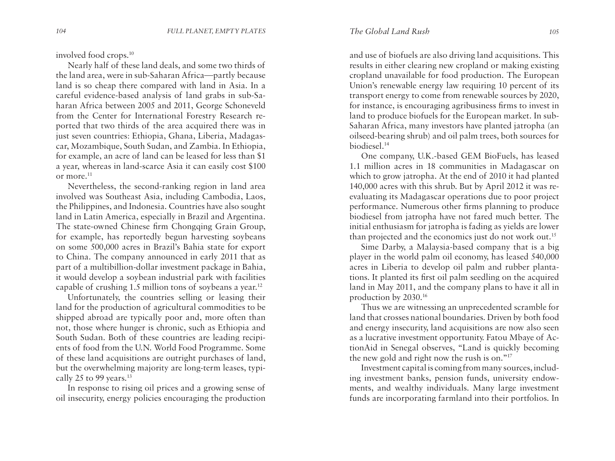involved food crops.10

Nearly half of these land deals, and some two thirds of the land area, were in sub-Saharan Africa—partly because land is so cheap there compared with land in Asia. In a careful evidence-based analysis of land grabs in sub-Saharan Africa between 2005 and 2011, George Schoneveld from the Center for International Forestry Research reported that two thirds of the area acquired there was in just seven countries: Ethiopia, Ghana, Liberia, Madagascar, Mozambique, South Sudan, and Zambia. In Ethiopia, for example, an acre of land can be leased for less than \$1 a year, whereas in land-scarce Asia it can easily cost \$100 or more.11

Nevertheless, the second-ranking region in land area involved was Southeast Asia, including Cambodia, Laos, the Philippines, and Indonesia. Countries have also sought land in Latin America, especially in Brazil and Argentina. The state-owned Chinese firm Chongqing Grain Group, for example, has reportedly begun harvesting soybeans on some 500,000 acres in Brazil's Bahia state for export to China. The company announced in early 2011 that as part of a multibillion-dollar investment package in Bahia, it would develop a soybean industrial park with facilities capable of crushing 1.5 million tons of soybeans a year.12

Unfortunately, the countries selling or leasing their land for the production of agricultural commodities to be shipped abroad are typically poor and, more often than not, those where hunger is chronic, such as Ethiopia and South Sudan. Both of these countries are leading recipients of food from the U.N. World Food Programme. Some of these land acquisitions are outright purchases of land, but the overwhelming majority are long-term leases, typically 25 to 99 years.<sup>13</sup>

In response to rising oil prices and a growing sense of oil insecurity, energy policies encouraging the production and use of biofuels are also driving land acquisitions. This results in either clearing new cropland or making existing cropland unavailable for food production. The European Union's renewable energy law requiring 10 percent of its transport energy to come from renewable sources by 2020, for instance, is encouraging agribusiness firms to invest in land to produce biofuels for the European market. In sub-Saharan Africa, many investors have planted jatropha (an oilseed-bearing shrub) and oil palm trees, both sources for biodiesel.<sup>14</sup>

One company, U.K.-based GEM BioFuels, has leased 1.1 million acres in 18 communities in Madagascar on which to grow jatropha. At the end of 2010 it had planted 140,000 acres with this shrub. But by April 2012 it was reevaluating its Madagascar operations due to poor project performance. Numerous other firms planning to produce biodiesel from jatropha have not fared much better. The initial enthusiasm for jatropha is fading as yields are lower than projected and the economics just do not work out.<sup>15</sup>

Sime Darby, a Malaysia-based company that is a big player in the world palm oil economy, has leased 540,000 acres in Liberia to develop oil palm and rubber plantations. It planted its first oil palm seedling on the acquired land in May 2011, and the company plans to have it all in production by 2030.16

Thus we are witnessing an unprecedented scramble for land that crosses national boundaries. Driven by both food and energy insecurity, land acquisitions are now also seen as a lucrative investment opportunity. Fatou Mbaye of ActionAid in Senegal observes, "Land is quickly becoming the new gold and right now the rush is on."17

Investment capital is coming from many sources, including investment banks, pension funds, university endowments, and wealthy individuals. Many large investment funds are incorporating farmland into their portfolios. In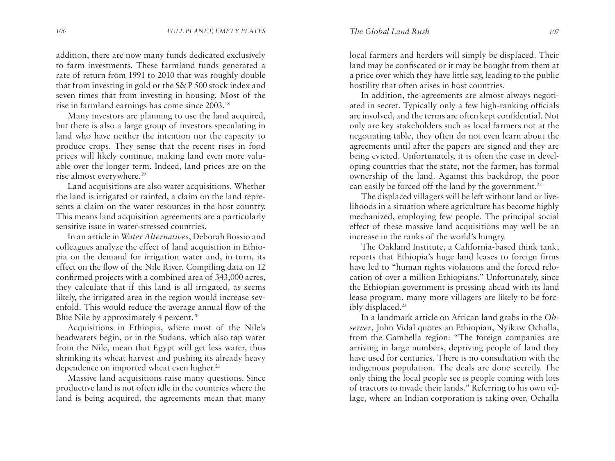addition, there are now many funds dedicated exclusively to farm investments. These farmland funds generated a rate of return from 1991 to 2010 that was roughly double that from investing in gold or the S&P 500 stock index and seven times that from investing in housing. Most of the rise in farmland earnings has come since 2003.18

Many investors are planning to use the land acquired, but there is also a large group of investors speculating in land who have neither the intention nor the capacity to produce crops. They sense that the recent rises in food prices will likely continue, making land even more valuable over the longer term. Indeed, land prices are on the rise almost everywhere.19

Land acquisitions are also water acquisitions. Whether the land is irrigated or rainfed, a claim on the land represents a claim on the water resources in the host country. This means land acquisition agreements are a particularly sensitive issue in water-stressed countries.

In an article in *Water Alternatives*, Deborah Bossio and colleagues analyze the effect of land acquisition in Ethiopia on the demand for irrigation water and, in turn, its effect on the flow of the Nile River. Compiling data on 12 confirmed projects with a combined area of 343,000 acres, they calculate that if this land is all irrigated, as seems likely, the irrigated area in the region would increase sevenfold. This would reduce the average annual flow of the Blue Nile by approximately 4 percent.<sup>20</sup>

Acquisitions in Ethiopia, where most of the Nile's headwaters begin, or in the Sudans, which also tap water from the Nile, mean that Egypt will get less water, thus shrinking its wheat harvest and pushing its already heavy dependence on imported wheat even higher.<sup>21</sup>

Massive land acquisitions raise many questions. Since productive land is not often idle in the countries where the land is being acquired, the agreements mean that many

local farmers and herders will simply be displaced. Their land may be confiscated or it may be bought from them at a price over which they have little say, leading to the public hostility that often arises in host countries.

In addition, the agreements are almost always negotiated in secret. Typically only a few high-ranking officials are involved, and the terms are often kept confidential. Not only are key stakeholders such as local farmers not at the negotiating table, they often do not even learn about the agreements until after the papers are signed and they are being evicted. Unfortunately, it is often the case in developing countries that the state, not the farmer, has formal ownership of the land. Against this backdrop, the poor can easily be forced off the land by the government.<sup>22</sup>

The displaced villagers will be left without land or livelihoods in a situation where agriculture has become highly mechanized, employing few people. The principal social effect of these massive land acquisitions may well be an increase in the ranks of the world's hungry.

The Oakland Institute, a California-based think tank, reports that Ethiopia's huge land leases to foreign firms have led to "human rights violations and the forced relocation of over a million Ethiopians." Unfortunately, since the Ethiopian government is pressing ahead with its land lease program, many more villagers are likely to be forcibly displaced.<sup>23</sup>

In a landmark article on African land grabs in the *Observer*, John Vidal quotes an Ethiopian, Nyikaw Ochalla, from the Gambella region: "The foreign companies are arriving in large numbers, depriving people of land they have used for centuries. There is no consultation with the indigenous population. The deals are done secretly. The only thing the local people see is people coming with lots of tractors to invade their lands." Referring to his own village, where an Indian corporation is taking over, Ochalla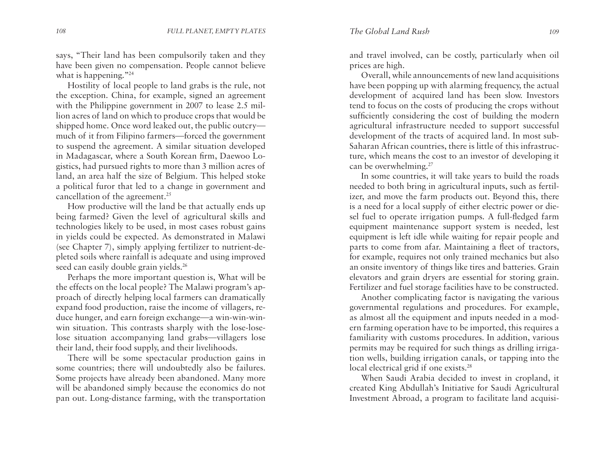says, "Their land has been compulsorily taken and they have been given no compensation. People cannot believe what is happening."<sup>24</sup>

Hostility of local people to land grabs is the rule, not the exception. China, for example, signed an agreement with the Philippine government in 2007 to lease 2.5 million acres of land on which to produce crops that would be shipped home. Once word leaked out, the public outcry much of it from Filipino farmers—forced the government to suspend the agreement. A similar situation developed in Madagascar, where a South Korean firm, Daewoo Logistics, had pursued rights to more than 3 million acres of land, an area half the size of Belgium. This helped stoke a political furor that led to a change in government and cancellation of the agreement.<sup>25</sup>

How productive will the land be that actually ends up being farmed? Given the level of agricultural skills and technologies likely to be used, in most cases robust gains in yields could be expected. As demonstrated in Malawi (see Chapter 7), simply applying fertilizer to nutrient-depleted soils where rainfall is adequate and using improved seed can easily double grain yields.<sup>26</sup>

Perhaps the more important question is, What will be the effects on the local people? The Malawi program's approach of directly helping local farmers can dramatically expand food production, raise the income of villagers, reduce hunger, and earn foreign exchange—a win-win-winwin situation. This contrasts sharply with the lose-loselose situation accompanying land grabs—villagers lose their land, their food supply, and their livelihoods.

There will be some spectacular production gains in some countries; there will undoubtedly also be failures. Some projects have already been abandoned. Many more will be abandoned simply because the economics do not pan out. Long-distance farming, with the transportation

and travel involved, can be costly, particularly when oil prices are high.

Overall, while announcements of new land acquisitions have been popping up with alarming frequency, the actual development of acquired land has been slow. Investors tend to focus on the costs of producing the crops without sufficiently considering the cost of building the modern agricultural infrastructure needed to support successful development of the tracts of acquired land. In most sub-Saharan African countries, there is little of this infrastructure, which means the cost to an investor of developing it can be overwhelming.<sup>27</sup>

In some countries, it will take years to build the roads needed to both bring in agricultural inputs, such as fertilizer, and move the farm products out. Beyond this, there is a need for a local supply of either electric power or diesel fuel to operate irrigation pumps. A full-fledged farm equipment maintenance support system is needed, lest equipment is left idle while waiting for repair people and parts to come from afar. Maintaining a fleet of tractors, for example, requires not only trained mechanics but also an onsite inventory of things like tires and batteries. Grain elevators and grain dryers are essential for storing grain. Fertilizer and fuel storage facilities have to be constructed.

Another complicating factor is navigating the various governmental regulations and procedures. For example, as almost all the equipment and inputs needed in a modern farming operation have to be imported, this requires a familiarity with customs procedures. In addition, various permits may be required for such things as drilling irrigation wells, building irrigation canals, or tapping into the local electrical grid if one exists.<sup>28</sup>

When Saudi Arabia decided to invest in cropland, it created King Abdullah's Initiative for Saudi Agricultural Investment Abroad, a program to facilitate land acquisi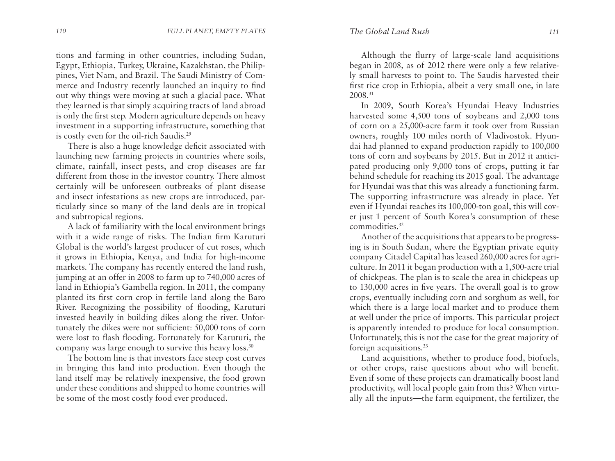tions and farming in other countries, including Sudan, Egypt, Ethiopia, Turkey, Ukraine, Kazakhstan, the Philippines, Viet Nam, and Brazil. The Saudi Ministry of Commerce and Industry recently launched an inquiry to find out why things were moving at such a glacial pace. What they learned is that simply acquiring tracts of land abroad is only the first step. Modern agriculture depends on heavy investment in a supporting infrastructure, something that is costly even for the oil-rich Saudis.29

There is also a huge knowledge deficit associated with launching new farming projects in countries where soils, climate, rainfall, insect pests, and crop diseases are far different from those in the investor country. There almost certainly will be unforeseen outbreaks of plant disease and insect infestations as new crops are introduced, particularly since so many of the land deals are in tropical and subtropical regions.

A lack of familiarity with the local environment brings with it a wide range of risks. The Indian firm Karuturi Global is the world's largest producer of cut roses, which it grows in Ethiopia, Kenya, and India for high-income markets. The company has recently entered the land rush, jumping at an offer in 2008 to farm up to 740,000 acres of land in Ethiopia's Gambella region. In 2011, the company planted its first corn crop in fertile land along the Baro River. Recognizing the possibility of flooding, Karuturi invested heavily in building dikes along the river. Unfortunately the dikes were not sufficient: 50,000 tons of corn were lost to flash flooding. Fortunately for Karuturi, the company was large enough to survive this heavy loss.<sup>30</sup>

The bottom line is that investors face steep cost curves in bringing this land into production. Even though the land itself may be relatively inexpensive, the food grown under these conditions and shipped to home countries will be some of the most costly food ever produced.

Although the flurry of large-scale land acquisitions began in 2008, as of 2012 there were only a few relatively small harvests to point to. The Saudis harvested their first rice crop in Ethiopia, albeit a very small one, in late 2008.31

In 2009, South Korea's Hyundai Heavy Industries harvested some 4,500 tons of soybeans and 2,000 tons of corn on a 25,000-acre farm it took over from Russian owners, roughly 100 miles north of Vladivostok. Hyundai had planned to expand production rapidly to 100,000 tons of corn and soybeans by 2015. But in 2012 it anticipated producing only 9,000 tons of crops, putting it far behind schedule for reaching its 2015 goal. The advantage for Hyundai was that this was already a functioning farm. The supporting infrastructure was already in place. Yet even if Hyundai reaches its 100,000-ton goal, this will cover just 1 percent of South Korea's consumption of these commodities.<sup>32</sup>

Another of the acquisitions that appears to be progressing is in South Sudan, where the Egyptian private equity company Citadel Capital has leased 260,000 acres for agriculture. In 2011 it began production with a 1,500-acre trial of chickpeas. The plan is to scale the area in chickpeas up to 130,000 acres in five years. The overall goal is to grow crops, eventually including corn and sorghum as well, for which there is a large local market and to produce them at well under the price of imports. This particular project is apparently intended to produce for local consumption. Unfortunately, this is not the case for the great majority of foreign acquisitions.33

Land acquisitions, whether to produce food, biofuels, or other crops, raise questions about who will benefit. Even if some of these projects can dramatically boost land productivity, will local people gain from this? When virtually all the inputs—the farm equipment, the fertilizer, the